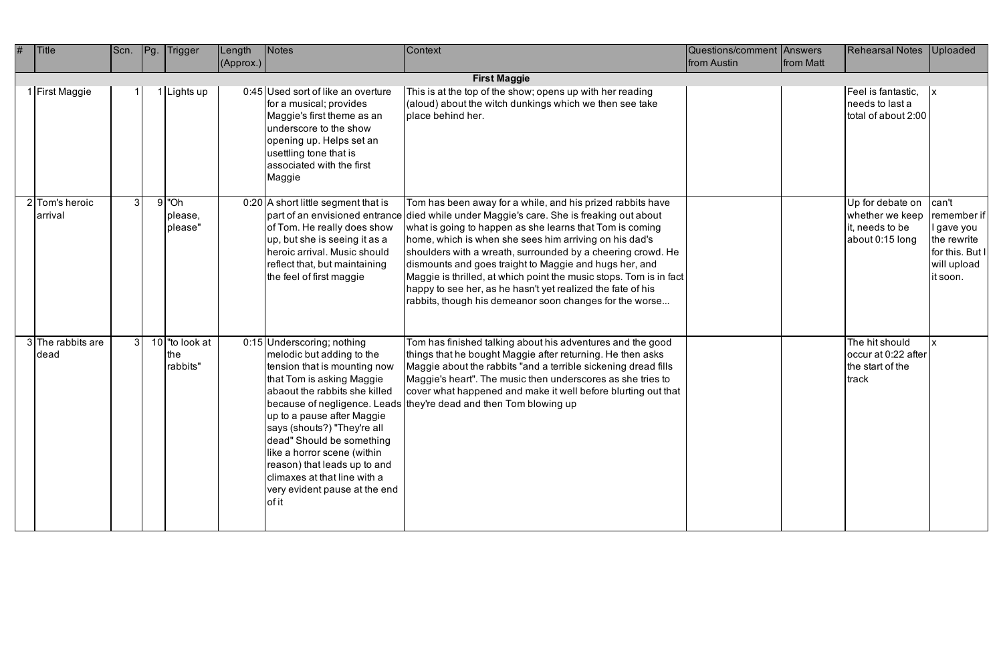| <b>Title</b>              | Scn. | Pg. | Trigger                           | Length    | Notes                                                                                                                                                                                                                                                                                                                                                                                    | Context                                                                                                                                                                                                                                                                                                                                                                                                                                                                                                                                                                                               | Questions/comment Answers |           | <b>Rehearsal Notes</b>                                                    | <b>Uploaded</b>                                                                                 |
|---------------------------|------|-----|-----------------------------------|-----------|------------------------------------------------------------------------------------------------------------------------------------------------------------------------------------------------------------------------------------------------------------------------------------------------------------------------------------------------------------------------------------------|-------------------------------------------------------------------------------------------------------------------------------------------------------------------------------------------------------------------------------------------------------------------------------------------------------------------------------------------------------------------------------------------------------------------------------------------------------------------------------------------------------------------------------------------------------------------------------------------------------|---------------------------|-----------|---------------------------------------------------------------------------|-------------------------------------------------------------------------------------------------|
|                           |      |     |                                   | (Approx.) |                                                                                                                                                                                                                                                                                                                                                                                          |                                                                                                                                                                                                                                                                                                                                                                                                                                                                                                                                                                                                       | from Austin               | from Matt |                                                                           |                                                                                                 |
|                           |      |     |                                   |           |                                                                                                                                                                                                                                                                                                                                                                                          | <b>First Maggie</b>                                                                                                                                                                                                                                                                                                                                                                                                                                                                                                                                                                                   |                           |           |                                                                           |                                                                                                 |
| 1 First Maggie            |      |     | Lights up                         |           | 0:45 Used sort of like an overture<br>for a musical; provides<br>Maggie's first theme as an<br>underscore to the show<br>opening up. Helps set an<br>usettling tone that is<br>associated with the first<br>Maggie                                                                                                                                                                       | This is at the top of the show; opens up with her reading<br>(aloud) about the witch dunkings which we then see take<br>place behind her.                                                                                                                                                                                                                                                                                                                                                                                                                                                             |                           |           | Feel is fantastic,<br>needs to last a<br>total of about 2:00              |                                                                                                 |
| 2 Tom's heroic<br>arrival | 3    |     | $9$ "Oh<br>please,<br>please"     |           | $0:20$ A short little segment that is<br>of Tom. He really does show<br>up, but she is seeing it as a<br>Iheroic arrival. Music should<br>reflect that, but maintaining<br>the feel of first maggie                                                                                                                                                                                      | Tom has been away for a while, and his prized rabbits have<br>part of an envisioned entrance died while under Maggie's care. She is freaking out about<br>what is going to happen as she learns that Tom is coming<br>home, which is when she sees him arriving on his dad's<br>shoulders with a wreath, surrounded by a cheering crowd. He<br>dismounts and goes traight to Maggie and hugs her, and<br>Maggie is thrilled, at which point the music stops. Tom is in fact<br>happy to see her, as he hasn't yet realized the fate of his<br>rabbits, though his demeanor soon changes for the worse |                           |           | Up for debate on<br>whether we keep<br>it, needs to be<br>about 0:15 long | can't<br>remember if<br>l gave you<br>the rewrite<br>for this. But I<br>will upload<br>it soon. |
| 3 The rabbits are<br>dead | 3    |     | 10 "to look at<br>the<br>rabbits" |           | 0:15 Underscoring; nothing<br>melodic but adding to the<br>tension that is mounting now<br>that Tom is asking Maggie<br>abaout the rabbits she killed<br>up to a pause after Maggie<br>says (shouts?) "They're all<br>dead" Should be something<br>like a horror scene (within<br>reason) that leads up to and<br>climaxes at that line with a<br>very evident pause at the end<br>of it | Tom has finished talking about his adventures and the good<br>things that he bought Maggie after returning. He then asks<br>Maggie about the rabbits "and a terrible sickening dread fills<br>Maggie's heart". The music then underscores as she tries to<br>cover what happened and make it well before blurting out that<br> because of negligence. Leads   they're dead and then Tom blowing up                                                                                                                                                                                                    |                           |           | The hit should<br>occur at 0:22 after<br>the start of the<br>track        |                                                                                                 |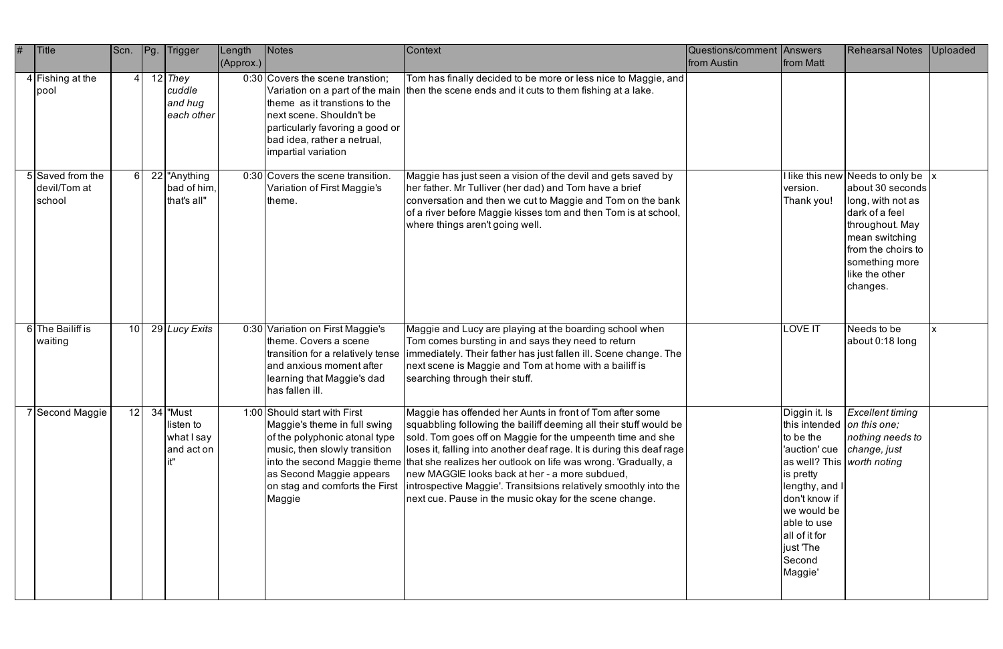| # | Title                                      | Scn.            | Pg. | Trigger                                             | Length<br>(Approx.) | Notes                                                                                                                                                                                                  | Context                                                                                                                                                                                                                                                                                                                                                                                                                                                                                                                                                 | <b>Questions/comment Answers</b><br>from Austin | from Matt                                                                                                                                                                                                                               | <b>Rehearsal Notes</b>                                                                                                                                                                                                 | Uploaded |
|---|--------------------------------------------|-----------------|-----|-----------------------------------------------------|---------------------|--------------------------------------------------------------------------------------------------------------------------------------------------------------------------------------------------------|---------------------------------------------------------------------------------------------------------------------------------------------------------------------------------------------------------------------------------------------------------------------------------------------------------------------------------------------------------------------------------------------------------------------------------------------------------------------------------------------------------------------------------------------------------|-------------------------------------------------|-----------------------------------------------------------------------------------------------------------------------------------------------------------------------------------------------------------------------------------------|------------------------------------------------------------------------------------------------------------------------------------------------------------------------------------------------------------------------|----------|
|   | $4$ Fishing at the<br>pool                 |                 |     | $12$ They<br>cuddle<br>and hug<br>each other        |                     | 0:30 Covers the scene transtion;<br>theme as it transtions to the<br>next scene. Shouldn't be<br>particularly favoring a good or<br>bad idea, rather a netrual,<br>impartial variation                 | Tom has finally decided to be more or less nice to Maggie, and<br>Variation on a part of the main then the scene ends and it cuts to them fishing at a lake.                                                                                                                                                                                                                                                                                                                                                                                            |                                                 |                                                                                                                                                                                                                                         |                                                                                                                                                                                                                        |          |
|   | 5 Saved from the<br>devil/Tom at<br>school |                 |     | 22 Anything<br>bad of him,<br>that's all"           |                     | 0:30 Covers the scene transition.<br>Variation of First Maggie's<br>theme.                                                                                                                             | Maggie has just seen a vision of the devil and gets saved by<br>her father. Mr Tulliver (her dad) and Tom have a brief<br>conversation and then we cut to Maggie and Tom on the bank<br>of a river before Maggie kisses tom and then Tom is at school,<br>where things aren't going well.                                                                                                                                                                                                                                                               |                                                 | version.<br>Thank you!                                                                                                                                                                                                                  | I like this new Needs to only be $\vert x \vert$<br>about 30 seconds<br>long, with not as<br>dark of a feel<br>throughout. May<br>mean switching<br>from the choirs to<br>something more<br>like the other<br>changes. |          |
|   | 6 The Bailiff is<br>waiting                | 10 <sup>1</sup> |     | 29 Lucy Exits                                       |                     | 0:30 Variation on First Maggie's<br>theme. Covers a scene<br>and anxious moment after<br>learning that Maggie's dad<br>has fallen ill.                                                                 | Maggie and Lucy are playing at the boarding school when<br>Tom comes bursting in and says they need to return<br>transition for a relatively tense  immediately. Their father has just fallen ill. Scene change. The<br>next scene is Maggie and Tom at home with a bailiff is<br>searching through their stuff.                                                                                                                                                                                                                                        |                                                 | <b>LOVE IT</b>                                                                                                                                                                                                                          | Needs to be<br>about 0:18 long                                                                                                                                                                                         |          |
|   | 7 Second Maggie                            |                 |     | 12 34 Must<br>listen to<br>what I say<br>and act on |                     | 1:00 Should start with First<br>Maggie's theme in full swing<br>of the polyphonic atonal type<br>music, then slowly transition<br>as Second Maggie appears<br>on stag and comforts the First<br>Maggie | Maggie has offended her Aunts in front of Tom after some<br>squabbling following the bailiff deeming all their stuff would be<br>sold. Tom goes off on Maggie for the umpeenth time and she<br> loses it, falling into another deaf rage. It is during this deaf rage  <br>into the second Maggie theme that she realizes her outlook on life was wrong. 'Gradually, a<br>new MAGGIE looks back at her - a more subdued,<br>introspective Maggie'. Transitsions relatively smoothly into the<br>next cue. Pause in the music okay for the scene change. |                                                 | this intended on this one;<br>to be the<br>'auction' cue   change, just<br>as well? This worth noting<br>is pretty<br>lengthy, and I<br>don't know if<br>we would be<br>able to use<br>lall of it for<br>just 'The<br>Second<br>Maggie' | Diggin it. Is Excellent timing<br>nothing needs to                                                                                                                                                                     |          |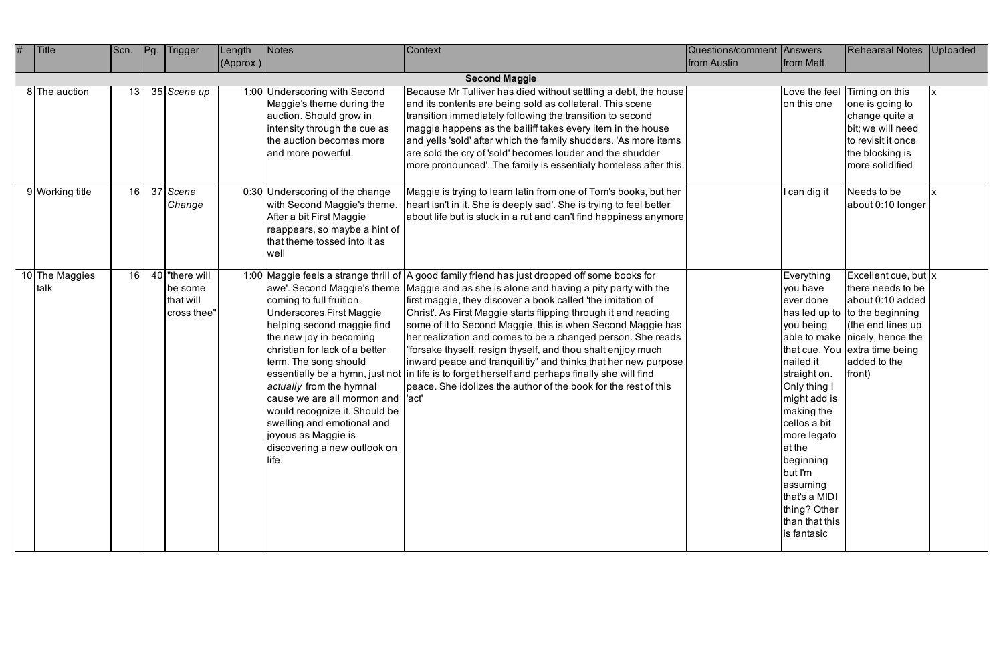| <b>Title</b>        | Scn. | Pg | <b>Trigger</b>                                       | Length    | <b>Notes</b>                                                                                                                                                                                                                                                                                                                                                                                             | Context                                                                                                                                                                                                                                                                                                                                                                                                                                                                                                                                                                                                                                                                                                                              | Questions/comment Answers |                                                                                                                                                                                                                                                                            | <b>Rehearsal Notes</b>                                                                                                                                                                                                          | Uploaded |
|---------------------|------|----|------------------------------------------------------|-----------|----------------------------------------------------------------------------------------------------------------------------------------------------------------------------------------------------------------------------------------------------------------------------------------------------------------------------------------------------------------------------------------------------------|--------------------------------------------------------------------------------------------------------------------------------------------------------------------------------------------------------------------------------------------------------------------------------------------------------------------------------------------------------------------------------------------------------------------------------------------------------------------------------------------------------------------------------------------------------------------------------------------------------------------------------------------------------------------------------------------------------------------------------------|---------------------------|----------------------------------------------------------------------------------------------------------------------------------------------------------------------------------------------------------------------------------------------------------------------------|---------------------------------------------------------------------------------------------------------------------------------------------------------------------------------------------------------------------------------|----------|
|                     |      |    |                                                      | (Approx.) |                                                                                                                                                                                                                                                                                                                                                                                                          |                                                                                                                                                                                                                                                                                                                                                                                                                                                                                                                                                                                                                                                                                                                                      | from Austin               | from Matt                                                                                                                                                                                                                                                                  |                                                                                                                                                                                                                                 |          |
|                     |      |    |                                                      |           |                                                                                                                                                                                                                                                                                                                                                                                                          | <b>Second Maggie</b>                                                                                                                                                                                                                                                                                                                                                                                                                                                                                                                                                                                                                                                                                                                 |                           |                                                                                                                                                                                                                                                                            |                                                                                                                                                                                                                                 |          |
| 8 The auction       | 13   |    | 35 Scene up                                          |           | 1:00 Underscoring with Second<br>Maggie's theme during the<br>auction. Should grow in<br>intensity through the cue as<br>the auction becomes more<br>and more powerful.                                                                                                                                                                                                                                  | Because Mr Tulliver has died without settling a debt, the house<br>and its contents are being sold as collateral. This scene<br>transition immediately following the transition to second<br>maggie happens as the bailiff takes every item in the house<br>and yells 'sold' after which the family shudders. 'As more items<br>are sold the cry of 'sold' becomes louder and the shudder<br>more pronounced'. The family is essentialy homeless after this.                                                                                                                                                                                                                                                                         |                           | on this one                                                                                                                                                                                                                                                                | Love the feel Timing on this<br>one is going to<br>change quite a<br>bit; we will need<br>to revisit it once<br>the blocking is<br>more solidified                                                                              |          |
| 9 Working title     | 16   |    | 37 Scene<br>Change                                   |           | 0:30 Underscoring of the change<br>with Second Maggie's theme.<br>After a bit First Maggie<br>reappears, so maybe a hint of<br>that theme tossed into it as<br>well                                                                                                                                                                                                                                      | Maggie is trying to learn latin from one of Tom's books, but her<br>heart isn't in it. She is deeply sad'. She is trying to feel better<br>about life but is stuck in a rut and can't find happiness anymore                                                                                                                                                                                                                                                                                                                                                                                                                                                                                                                         |                           | l can dig it                                                                                                                                                                                                                                                               | Needs to be<br>about 0:10 longer                                                                                                                                                                                                |          |
| The Maggies<br>talk | 16   |    | 40 There will<br>be some<br>that will<br>cross thee" |           | awe'. Second Maggie's theme<br>coming to full fruition.<br>Underscores First Maggie<br>helping second maggie find<br>the new joy in becoming<br>christian for lack of a better<br>term. The song should<br>actually from the hymnal<br>cause we are all mormon and  'act'<br>would recognize it. Should be<br>swelling and emotional and<br>joyous as Maggie is<br>discovering a new outlook on<br>life. | 1:00 Maggie feels a strange thrill of A good family friend has just dropped off some books for<br>Maggie and as she is alone and having a pity party with the<br>first maggie, they discover a book called 'the imitation of<br>Christ'. As First Maggie starts flipping through it and reading<br>some of it to Second Maggie, this is when Second Maggie has<br>her realization and comes to be a changed person. She reads<br>"forsake thyself, resign thyself, and thou shalt enjjoy much<br>inward peace and tranquilitiy" and thinks that her new purpose<br>essentially be a hymn, just not in life is to forget herself and perhaps finally she will find<br>peace. She idolizes the author of the book for the rest of this |                           | Everything<br>you have<br>ever done<br>you being<br>nailed it<br>straight on.<br>Only thing I<br>might add is<br>making the<br>cellos a bit<br>more legato<br>at the<br>beginning<br>but I'm<br>assuming<br>that's a MIDI<br>thing? Other<br>than that this<br>is fantasic | Excellent cue, but  x<br>there needs to be<br>about 0:10 added<br>has led up to $\vert$ to the beginning<br>(the end lines up<br>able to make $ $ nicely, hence the<br>that cue. You extra time being<br>added to the<br>front) |          |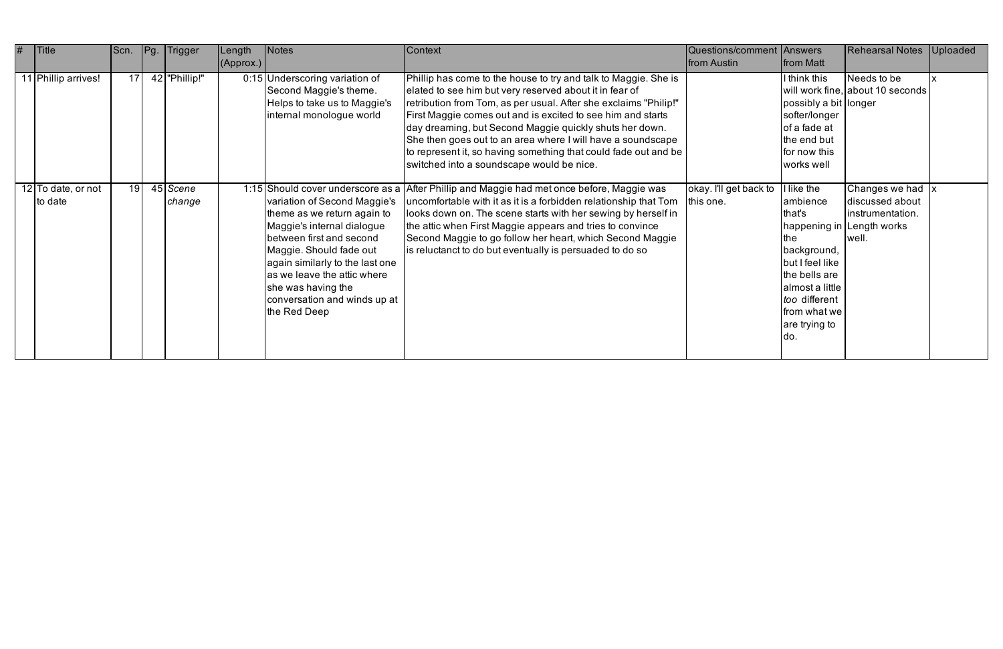| # | <b>Title</b>                  | Scn.            | Pg. | Trigger            | Length    | Notes                                                                                                                                                                                                                                                                                    | Context                                                                                                                                                                                                                                                                                                                                                                                                                                                                                                 | Questions/comment Answers           |                                                                                                                                                                       | <b>Rehearsal Notes</b>                                                                                      | <b>Uploaded</b> |
|---|-------------------------------|-----------------|-----|--------------------|-----------|------------------------------------------------------------------------------------------------------------------------------------------------------------------------------------------------------------------------------------------------------------------------------------------|---------------------------------------------------------------------------------------------------------------------------------------------------------------------------------------------------------------------------------------------------------------------------------------------------------------------------------------------------------------------------------------------------------------------------------------------------------------------------------------------------------|-------------------------------------|-----------------------------------------------------------------------------------------------------------------------------------------------------------------------|-------------------------------------------------------------------------------------------------------------|-----------------|
|   |                               |                 |     |                    | (Approx.) |                                                                                                                                                                                                                                                                                          |                                                                                                                                                                                                                                                                                                                                                                                                                                                                                                         | from Austin                         | <b>from Matt</b>                                                                                                                                                      |                                                                                                             |                 |
|   | 11 Phillip arrives!           | 17 <sup>1</sup> |     | 42   "Phillip!"    |           | 0:15 Underscoring variation of<br>Second Maggie's theme.<br>Helps to take us to Maggie's<br>internal monologue world                                                                                                                                                                     | Phillip has come to the house to try and talk to Maggie. She is<br>elated to see him but very reserved about it in fear of<br>retribution from Tom, as per usual. After she exclaims "Philip!"<br>First Maggie comes out and is excited to see him and starts<br>day dreaming, but Second Maggie quickly shuts her down.<br>She then goes out to an area where I will have a soundscape<br>to represent it, so having something that could fade out and be<br>switched into a soundscape would be nice. |                                     | I think this<br>possibly a bit longer<br>softer/longer<br>of a fade at<br>the end but<br>for now this<br>works well                                                   | Needs to be<br>will work fine, about 10 seconds                                                             |                 |
|   | 12 To date, or not<br>to date | 19 <sup>1</sup> |     | 45 Scene<br>change |           | variation of Second Maggie's<br>theme as we return again to<br>Maggie's internal dialogue<br>between first and second<br>Maggie. Should fade out<br>again similarly to the last one<br>as we leave the attic where<br>she was having the<br>conversation and winds up at<br>the Red Deep | 1:15 Should cover underscore as a After Phillip and Maggie had met once before, Maggie was<br>uncomfortable with it as it is a forbidden relationship that Tom<br>looks down on. The scene starts with her sewing by herself in<br>the attic when First Maggie appears and tries to convince<br>Second Maggie to go follow her heart, which Second Maggie<br>is reluctanct to do but eventually is persuaded to do so                                                                                   | okay. I'll get back to<br>this one. | like the<br>ambience<br>that's<br>the<br>background,<br>but I feel like<br>the bells are<br>almost a little<br>too different<br>from what we<br>are trying to<br>ldo. | Changes we had $\vert x \vert$<br>discussed about<br>instrumentation.<br>happening in Length works<br>well. |                 |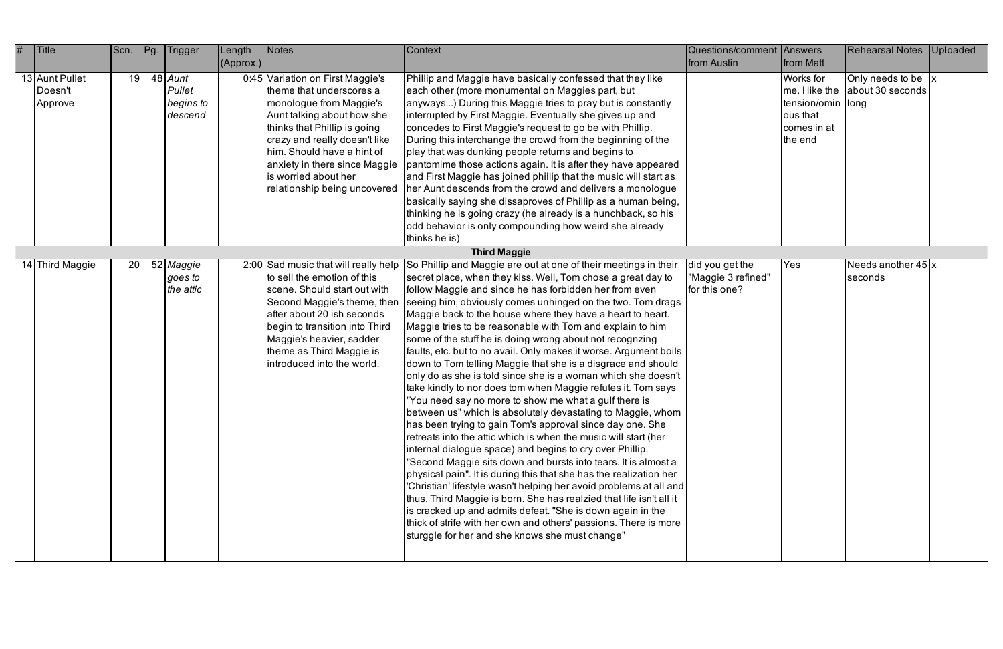| # | Title                                | Scn. | Pg. | Trigger                                     | Length<br>(Approx.) | <b>Notes</b>                                                                                                                                                                                                                                                                                                  | Context                                                                                                                                                                                                                                                                                                                                                                                                                                                                                                                                                                                                                                                                                                                                                                                                                                                                                                                                                                                                                                                                                                                                                                                                                                                                                                                                                                                                                                                                                                                                                 | Questions/comment Answers<br>from Austin               | from Matt                                                             | <b>Rehearsal Notes</b>                                              | Uploaded |
|---|--------------------------------------|------|-----|---------------------------------------------|---------------------|---------------------------------------------------------------------------------------------------------------------------------------------------------------------------------------------------------------------------------------------------------------------------------------------------------------|---------------------------------------------------------------------------------------------------------------------------------------------------------------------------------------------------------------------------------------------------------------------------------------------------------------------------------------------------------------------------------------------------------------------------------------------------------------------------------------------------------------------------------------------------------------------------------------------------------------------------------------------------------------------------------------------------------------------------------------------------------------------------------------------------------------------------------------------------------------------------------------------------------------------------------------------------------------------------------------------------------------------------------------------------------------------------------------------------------------------------------------------------------------------------------------------------------------------------------------------------------------------------------------------------------------------------------------------------------------------------------------------------------------------------------------------------------------------------------------------------------------------------------------------------------|--------------------------------------------------------|-----------------------------------------------------------------------|---------------------------------------------------------------------|----------|
|   | 13 Aunt Pullet<br>Doesn't<br>Approve | 19   |     | $48$ Aunt<br>Pullet<br>begins to<br>descend |                     | 0:45 Variation on First Maggie's<br>theme that underscores a<br>monologue from Maggie's<br>Aunt talking about how she<br>thinks that Phillip is going<br>crazy and really doesn't like<br>him. Should have a hint of<br>anxiety in there since Maggie<br>is worried about her<br>relationship being uncovered | Phillip and Maggie have basically confessed that they like<br>each other (more monumental on Maggies part, but<br>anyways) During this Maggie tries to pray but is constantly<br>interrupted by First Maggie. Eventually she gives up and<br>concedes to First Maggie's request to go be with Phillip.<br>During this interchange the crowd from the beginning of the<br>play that was dunking people returns and begins to<br>pantomime those actions again. It is after they have appeared<br>and First Maggie has joined phillip that the music will start as<br>her Aunt descends from the crowd and delivers a monologue<br>basically saying she dissaproves of Phillip as a human being,<br>thinking he is going crazy (he already is a hunchback, so his<br>odd behavior is only compounding how weird she already<br>thinks he is)                                                                                                                                                                                                                                                                                                                                                                                                                                                                                                                                                                                                                                                                                                              |                                                        | Works for<br>tension/omin  long<br>ous that<br>comes in at<br>the end | Only needs to be $\vert x \vert$<br>me. I like the about 30 seconds |          |
|   |                                      |      |     |                                             |                     |                                                                                                                                                                                                                                                                                                               | <b>Third Maggie</b>                                                                                                                                                                                                                                                                                                                                                                                                                                                                                                                                                                                                                                                                                                                                                                                                                                                                                                                                                                                                                                                                                                                                                                                                                                                                                                                                                                                                                                                                                                                                     |                                                        |                                                                       |                                                                     |          |
|   | 14 Third Maggie                      | 20   |     | 52 Maggie<br>goes to<br>the attic           |                     | to sell the emotion of this<br>scene. Should start out with<br>Second Maggie's theme, then<br>after about 20 ish seconds<br>begin to transition into Third<br>Maggie's heavier, sadder<br>theme as Third Maggie is<br>introduced into the world.                                                              | 2:00 Sad music that will really help So Phillip and Maggie are out at one of their meetings in their<br>secret place, when they kiss. Well, Tom chose a great day to<br>follow Maggie and since he has forbidden her from even<br>seeing him, obviously comes unhinged on the two. Tom drags<br>Maggie back to the house where they have a heart to heart.<br>Maggie tries to be reasonable with Tom and explain to him<br>some of the stuff he is doing wrong about not recognzing<br>faults, etc. but to no avail. Only makes it worse. Argument boils<br>down to Tom telling Maggie that she is a disgrace and should<br>only do as she is told since she is a woman which she doesn't<br>take kindly to nor does tom when Maggie refutes it. Tom says<br>"You need say no more to show me what a gulf there is<br>between us" which is absolutely devastating to Maggie, whom<br>has been trying to gain Tom's approval since day one. She<br>retreats into the attic which is when the music will start (her<br>internal dialogue space) and begins to cry over Phillip.<br>"Second Maggie sits down and bursts into tears. It is almost a<br>physical pain". It is during this that she has the realization her<br>'Christian' lifestyle wasn't helping her avoid problems at all and<br>thus, Third Maggie is born. She has realzied that life isn't all it<br>is cracked up and admits defeat. "She is down again in the<br>thick of strife with her own and others' passions. There is more<br>sturggle for her and she knows she must change" | did you get the<br>"Maggie 3 refined"<br>for this one? | <b>Yes</b>                                                            | Needs another $45x$<br>seconds                                      |          |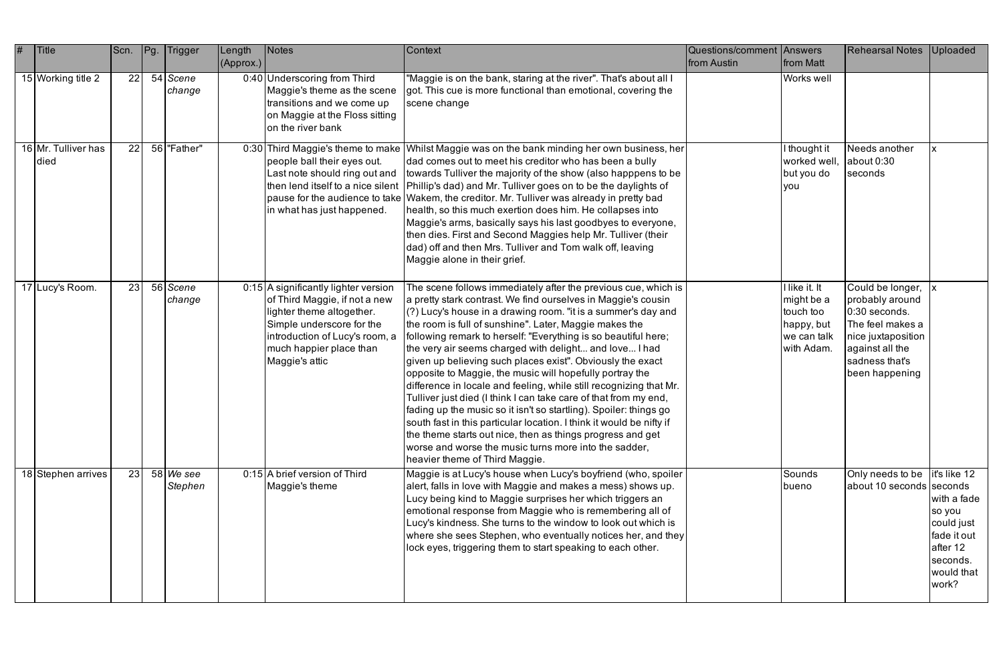| # | <b>Title</b>                | Scn. | Pg | <b>Trigger</b>                | Length<br>(Approx.) | <b>Notes</b>                                                                                                                                                                                                   | Context                                                                                                                                                                                                                                                                                                                                                                                                                                                                                                                                                                                                                                                                                                                                                                                                                                                                                                                                                          | Questions/comment Answers<br>from Austin | <b>from Matt</b>                                                                    | <b>Rehearsal Notes</b>                                                                                                                                  | Uploaded                                                                                                          |
|---|-----------------------------|------|----|-------------------------------|---------------------|----------------------------------------------------------------------------------------------------------------------------------------------------------------------------------------------------------------|------------------------------------------------------------------------------------------------------------------------------------------------------------------------------------------------------------------------------------------------------------------------------------------------------------------------------------------------------------------------------------------------------------------------------------------------------------------------------------------------------------------------------------------------------------------------------------------------------------------------------------------------------------------------------------------------------------------------------------------------------------------------------------------------------------------------------------------------------------------------------------------------------------------------------------------------------------------|------------------------------------------|-------------------------------------------------------------------------------------|---------------------------------------------------------------------------------------------------------------------------------------------------------|-------------------------------------------------------------------------------------------------------------------|
|   | 15 Working title 2          | 22   |    | 54 Scene<br>change            |                     | 0:40 Underscoring from Third<br>Maggie's theme as the scene<br>transitions and we come up<br>on Maggie at the Floss sitting<br>on the river bank                                                               | "Maggie is on the bank, staring at the river". That's about all I<br>got. This cue is more functional than emotional, covering the<br>scene change                                                                                                                                                                                                                                                                                                                                                                                                                                                                                                                                                                                                                                                                                                                                                                                                               |                                          | Works well                                                                          |                                                                                                                                                         |                                                                                                                   |
|   | 16 Mr. Tulliver has<br>died | 22   |    | 56 Father"                    |                     | people ball their eyes out.<br>Last note should ring out and<br>in what has just happened.                                                                                                                     | 0:30 Third Maggie's theme to make Whilst Maggie was on the bank minding her own business, her<br>dad comes out to meet his creditor who has been a bully<br>towards Tulliver the majority of the show (also happpens to be<br>then lend itself to a nice silent   Phillip's dad) and Mr. Tulliver goes on to be the daylights of<br>pause for the audience to take Wakem, the creditor. Mr. Tulliver was already in pretty bad<br>health, so this much exertion does him. He collapses into<br>Maggie's arms, basically says his last goodbyes to everyone,<br>then dies. First and Second Maggies help Mr. Tulliver (their<br>dad) off and then Mrs. Tulliver and Tom walk off, leaving<br>Maggie alone in their grief.                                                                                                                                                                                                                                         |                                          | I thought it<br>worked well,<br>but you do<br>you                                   | Needs another<br>labout 0:30<br>seconds                                                                                                                 |                                                                                                                   |
|   | 17 Lucy's Room.             | 23   |    | 56 Scene<br>change            |                     | 0:15 A significantly lighter version<br>of Third Maggie, if not a new<br>lighter theme altogether.<br>Simple underscore for the<br>introduction of Lucy's room, a<br>much happier place than<br>Maggie's attic | The scene follows immediately after the previous cue, which is<br>a pretty stark contrast. We find ourselves in Maggie's cousin<br>(?) Lucy's house in a drawing room. "it is a summer's day and<br>the room is full of sunshine". Later, Maggie makes the<br>following remark to herself: "Everything is so beautiful here;<br>the very air seems charged with delight and love I had<br>given up believing such places exist". Obviously the exact<br>opposite to Maggie, the music will hopefully portray the<br>difference in locale and feeling, while still recognizing that Mr.<br>Tulliver just died (I think I can take care of that from my end,<br>fading up the music so it isn't so startling). Spoiler: things go<br>south fast in this particular location. I think it would be nifty if<br>the theme starts out nice, then as things progress and get<br>worse and worse the music turns more into the sadder,<br>heavier theme of Third Maggie. |                                          | I like it. It<br>might be a<br>touch too<br>happy, but<br>we can talk<br>with Adam. | Could be longer, x<br>probably around<br>0:30 seconds.<br>The feel makes a<br>nice juxtaposition<br>against all the<br>sadness that's<br>been happening |                                                                                                                   |
|   | 18 Stephen arrives          | 23   |    | $58$ <i>We see</i><br>Stephen |                     | 0:15 A brief version of Third<br>Maggie's theme                                                                                                                                                                | Maggie is at Lucy's house when Lucy's boyfriend (who, spoiler<br>alert, falls in love with Maggie and makes a mess) shows up.<br>Lucy being kind to Maggie surprises her which triggers an<br>emotional response from Maggie who is remembering all of<br>Lucy's kindness. She turns to the window to look out which is<br>where she sees Stephen, who eventually notices her, and they<br>lock eyes, triggering them to start speaking to each other.                                                                                                                                                                                                                                                                                                                                                                                                                                                                                                           |                                          | Sounds<br>bueno                                                                     | Only needs to be<br>about 10 seconds seconds                                                                                                            | it's like 12<br>with a fade<br>so you<br>could just<br>fade it out<br>after 12<br>seconds.<br>would that<br>work? |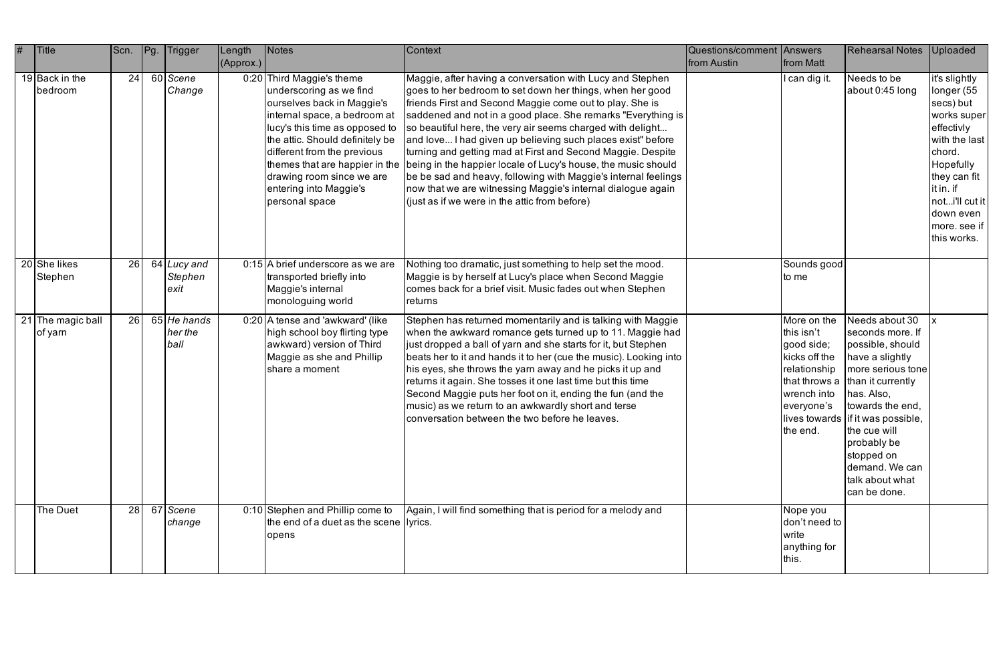| # | Title                             | Scn. | Pg.<br>Trigger                  | Length<br>(Approx.) | Notes                                                                                                                                                                                                                                                                                           | <b>Context</b>                                                                                                                                                                                                                                                                                                                                                                                                                                                                                                                                                                                                                                                                                                                      | Questions/comment Answers<br>from Austin | from Matt                                                                                                         | <b>Rehearsal Notes</b>                                                                                                                                                                                                                                                                                       | <b>Uploaded</b>                                                                                                                                                                                         |
|---|-----------------------------------|------|---------------------------------|---------------------|-------------------------------------------------------------------------------------------------------------------------------------------------------------------------------------------------------------------------------------------------------------------------------------------------|-------------------------------------------------------------------------------------------------------------------------------------------------------------------------------------------------------------------------------------------------------------------------------------------------------------------------------------------------------------------------------------------------------------------------------------------------------------------------------------------------------------------------------------------------------------------------------------------------------------------------------------------------------------------------------------------------------------------------------------|------------------------------------------|-------------------------------------------------------------------------------------------------------------------|--------------------------------------------------------------------------------------------------------------------------------------------------------------------------------------------------------------------------------------------------------------------------------------------------------------|---------------------------------------------------------------------------------------------------------------------------------------------------------------------------------------------------------|
|   | 19 $\vert$ Back in the<br>bedroom | 24   | 60 Scene<br>Change              |                     | 0:20 Third Maggie's theme<br>underscoring as we find<br>ourselves back in Maggie's<br>internal space, a bedroom at<br>lucy's this time as opposed to<br>the attic. Should definitely be<br>different from the previous<br>drawing room since we are<br>entering into Maggie's<br>personal space | Maggie, after having a conversation with Lucy and Stephen<br>goes to her bedroom to set down her things, when her good<br>friends First and Second Maggie come out to play. She is<br>saddened and not in a good place. She remarks "Everything is<br>so beautiful here, the very air seems charged with delight<br>and love I had given up believing such places exist" before<br>turning and getting mad at First and Second Maggie. Despite<br>themes that are happier in the being in the happier locale of Lucy's house, the music should<br>be be sad and heavy, following with Maggie's internal feelings<br>now that we are witnessing Maggie's internal dialogue again<br>$($ iust as if we were in the attic from before) |                                          | l can dig it.                                                                                                     | Needs to be<br>about 0:45 long                                                                                                                                                                                                                                                                               | iťs slightly<br>longer (55<br>secs) but<br>works super<br>effectivly<br>with the last<br>chord.<br>Hopefully<br>they can fit<br>it in. if<br>noti'll cut it<br>down even<br>more. see if<br>this works. |
|   | 20 She likes<br>Stephen           | 26   | 64 Lucy and<br>Stephen<br>lexit |                     | 0:15 A brief underscore as we are<br>transported briefly into<br>Maggie's internal<br>monologuing world                                                                                                                                                                                         | Nothing too dramatic, just something to help set the mood.<br>Maggie is by herself at Lucy's place when Second Maggie<br>comes back for a brief visit. Music fades out when Stephen<br>returns                                                                                                                                                                                                                                                                                                                                                                                                                                                                                                                                      |                                          | Sounds good<br>to me                                                                                              |                                                                                                                                                                                                                                                                                                              |                                                                                                                                                                                                         |
|   | 21 The magic ball<br>of yarn      | 26   | 65 He hands<br>her the<br>ball  |                     | 0:20 A tense and 'awkward' (like<br>high school boy flirting type<br>awkward) version of Third<br>Maggie as she and Phillip<br>share a moment                                                                                                                                                   | Stephen has returned momentarily and is talking with Maggie<br>when the awkward romance gets turned up to 11. Maggie had<br>just dropped a ball of yarn and she starts for it, but Stephen<br>beats her to it and hands it to her (cue the music). Looking into<br>his eyes, she throws the yarn away and he picks it up and<br>returns it again. She tosses it one last time but this time<br>Second Maggie puts her foot on it, ending the fun (and the<br>music) as we return to an awkwardly short and terse<br>conversation between the two before he leaves.                                                                                                                                                                  |                                          | More on the<br>this isn't<br>good side;<br>kicks off the<br>relationship<br>wrench into<br>everyone's<br>the end. | Needs about 30<br>seconds more. If<br>possible, should<br>have a slightly<br>more serious tone<br>that throws a than it currently<br>has. Also,<br>towards the end,<br>lives towards   if it was possible,<br>the cue will<br>probably be<br>stopped on<br>demand. We can<br>talk about what<br>can be done. |                                                                                                                                                                                                         |
|   | The Duet                          | 28   | 67 Scene<br>change              |                     | 0:10 Stephen and Phillip come to<br>the end of a duet as the scene livrics.<br>opens                                                                                                                                                                                                            | Again, I will find something that is period for a melody and                                                                                                                                                                                                                                                                                                                                                                                                                                                                                                                                                                                                                                                                        |                                          | Nope you<br>don't need to<br>write<br>anything for<br>this.                                                       |                                                                                                                                                                                                                                                                                                              |                                                                                                                                                                                                         |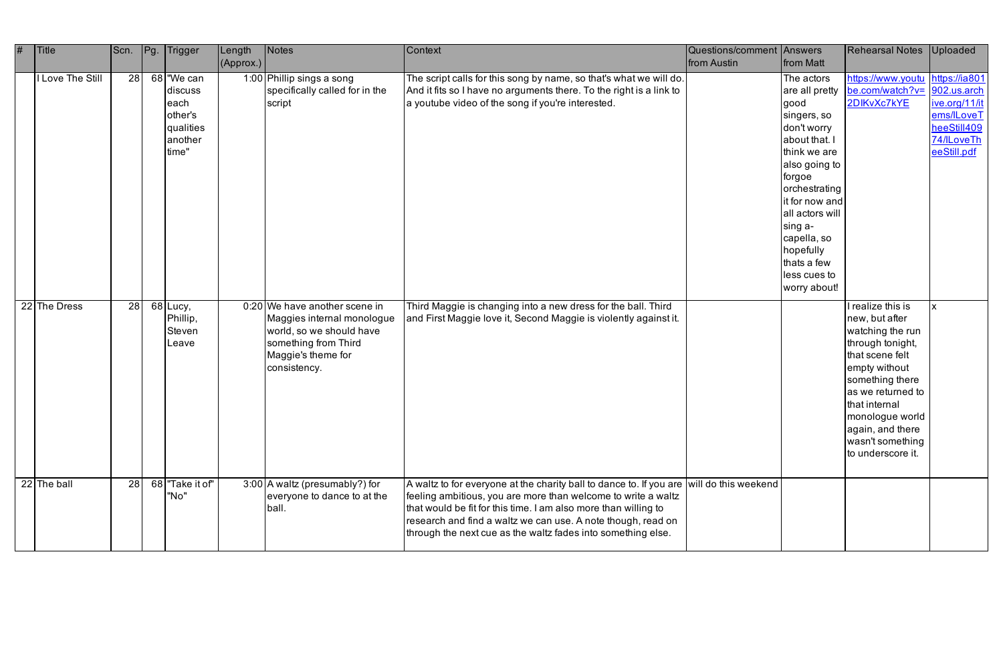| # | <b>Title</b>     | Scn. | Pg. | Trigger                                                                   | Length<br>(Approx.) | Notes                                                                                                                                                 | Context                                                                                                                                                                                                                                                                                                                                                      | Questions/comment Answers<br>from Austin | from Matt                                                                                                                                                                                                                                                                  | <b>Rehearsal Notes</b>                                                                                                                                                                                                                                   | <b>Uploaded</b>                                                                                 |
|---|------------------|------|-----|---------------------------------------------------------------------------|---------------------|-------------------------------------------------------------------------------------------------------------------------------------------------------|--------------------------------------------------------------------------------------------------------------------------------------------------------------------------------------------------------------------------------------------------------------------------------------------------------------------------------------------------------------|------------------------------------------|----------------------------------------------------------------------------------------------------------------------------------------------------------------------------------------------------------------------------------------------------------------------------|----------------------------------------------------------------------------------------------------------------------------------------------------------------------------------------------------------------------------------------------------------|-------------------------------------------------------------------------------------------------|
|   | I Love The Still | 28   |     | 68 We can<br>discuss<br>leach<br>other's<br>qualities<br>another<br>time" |                     | 1:00 Phillip sings a song<br>specifically called for in the<br>script                                                                                 | The script calls for this song by name, so that's what we will do.<br>And it fits so I have no arguments there. To the right is a link to<br>a youtube video of the song if you're interested.                                                                                                                                                               |                                          | The actors<br>are all pretty<br>good<br>singers, so<br>don't worry<br>about that. I<br>think we are<br>also going to<br>forgoe<br>orchestrating<br>it for now and<br>all actors will<br>sing a-<br>capella, so<br>hopefully<br>thats a few<br>less cues to<br>worry about! | https://www.youtu<br>be.com/watch?v= 902.us.arch<br>2DIKvXc7kYE                                                                                                                                                                                          | https://ia801<br><u>ive.org/11/it</u><br>ems/ILoveT<br>heeStill409<br>74/ILoveTh<br>eeStill.pdf |
|   | 22 The Dress     | 28   |     | $68$ Lucy,<br>Phillip,<br>Steven<br>Leave                                 |                     | 0:20 We have another scene in<br>Maggies internal monologue<br>world, so we should have<br>something from Third<br>Maggie's theme for<br>consistency. | Third Maggie is changing into a new dress for the ball. Third<br>and First Maggie love it, Second Maggie is violently against it.                                                                                                                                                                                                                            |                                          |                                                                                                                                                                                                                                                                            | I realize this is<br>new, but after<br>watching the run<br>through tonight,<br>that scene felt<br>empty without<br>something there<br>as we returned to<br>that internal<br>monologue world<br>again, and there<br>wasn't something<br>to underscore it. |                                                                                                 |
|   | $22$ The ball    | 28   |     | 68 Take it of"<br>"No"                                                    |                     | 3:00 A waltz (presumably?) for<br>everyone to dance to at the<br>ball.                                                                                | A waltz to for everyone at the charity ball to dance to. If you are will do this weekend<br>feeling ambitious, you are more than welcome to write a waltz<br>that would be fit for this time. I am also more than willing to<br>research and find a waltz we can use. A note though, read on<br>through the next cue as the waltz fades into something else. |                                          |                                                                                                                                                                                                                                                                            |                                                                                                                                                                                                                                                          |                                                                                                 |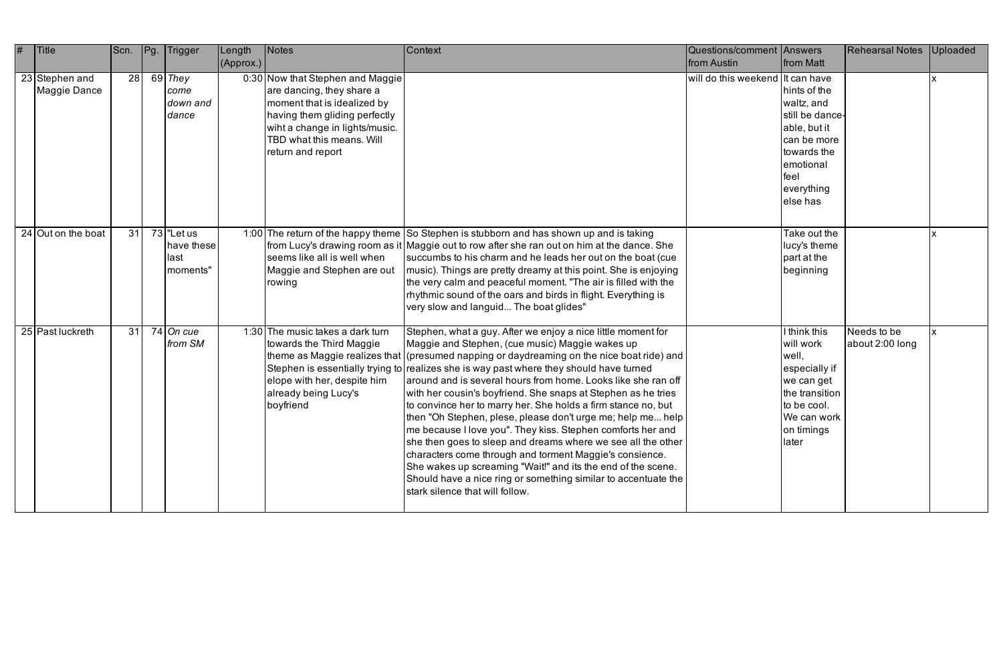| # | $ $ Title                      | Scn. | Pg. Trigger                                     | Length<br>(Approx.) | <b>Notes</b>                                                                                                                                                                                                      | Context                                                                                                                                                                                                                                                                                                                                                                                                                                                                                                                                                                                                                                                                                                                                                                                                                                                                                                                                    | Questions/comment Answers<br>from Austin | from Matt                                                                                                                                  | <b>Rehearsal Notes</b>         | Uploaded |
|---|--------------------------------|------|-------------------------------------------------|---------------------|-------------------------------------------------------------------------------------------------------------------------------------------------------------------------------------------------------------------|--------------------------------------------------------------------------------------------------------------------------------------------------------------------------------------------------------------------------------------------------------------------------------------------------------------------------------------------------------------------------------------------------------------------------------------------------------------------------------------------------------------------------------------------------------------------------------------------------------------------------------------------------------------------------------------------------------------------------------------------------------------------------------------------------------------------------------------------------------------------------------------------------------------------------------------------|------------------------------------------|--------------------------------------------------------------------------------------------------------------------------------------------|--------------------------------|----------|
|   | 23 Stephen and<br>Maggie Dance | 28   | $69$ They<br>come<br>down and<br>dance          |                     | 0:30 Now that Stephen and Maggie<br>are dancing, they share a<br>moment that is idealized by<br>having them gliding perfectly<br>wiht a change in lights/music.<br>TBD what this means. Will<br>return and report |                                                                                                                                                                                                                                                                                                                                                                                                                                                                                                                                                                                                                                                                                                                                                                                                                                                                                                                                            | will do this weekend It can have         | hints of the<br>waltz, and<br>still be dance-<br>able, but it<br>can be more<br>towards the<br>emotional<br>feel<br>everything<br>else has |                                |          |
|   | $24$ Out on the boat           | 31   | $73$ "Let us<br>have these<br>llast<br>moments" |                     | seems like all is well when<br>Maggie and Stephen are out<br>rowing                                                                                                                                               | 1:00 The return of the happy theme So Stephen is stubborn and has shown up and is taking<br>from Lucy's drawing room as it Maggie out to row after she ran out on him at the dance. She<br>succumbs to his charm and he leads her out on the boat (cue<br>music). Things are pretty dreamy at this point. She is enjoying<br>the very calm and peaceful moment. "The air is filled with the<br>rhythmic sound of the oars and birds in flight. Everything is<br>very slow and languid The boat glides"                                                                                                                                                                                                                                                                                                                                                                                                                                     |                                          | Take out the<br>lucy's theme<br>part at the<br>beginning                                                                                   |                                |          |
|   | 25 Past luckreth               | 31   | $74$ On cue<br>from SM                          |                     | 1:30 The music takes a dark turn<br>towards the Third Maggie<br>elope with her, despite him<br>already being Lucy's<br>boyfriend                                                                                  | Stephen, what a guy. After we enjoy a nice little moment for<br>Maggie and Stephen, (cue music) Maggie wakes up<br>theme as Maggie realizes that (presumed napping or daydreaming on the nice boat ride) and<br>Stephen is essentially trying to realizes she is way past where they should have turned<br>around and is several hours from home. Looks like she ran off<br>with her cousin's boyfriend. She snaps at Stephen as he tries<br>to convince her to marry her. She holds a firm stance no, but<br>then "Oh Stephen, plese, please don't urge me; help me help  <br>me because I love you". They kiss. Stephen comforts her and<br>she then goes to sleep and dreams where we see all the other<br>characters come through and torment Maggie's consience.<br>She wakes up screaming "Wait!" and its the end of the scene.<br>Should have a nice ring or something similar to accentuate the<br>stark silence that will follow. |                                          | I think this<br>will work<br>well,<br>especially if<br>we can get<br>the transition<br>to be cool.<br>We can work<br>on timings<br>later   | Needs to be<br>about 2:00 long |          |